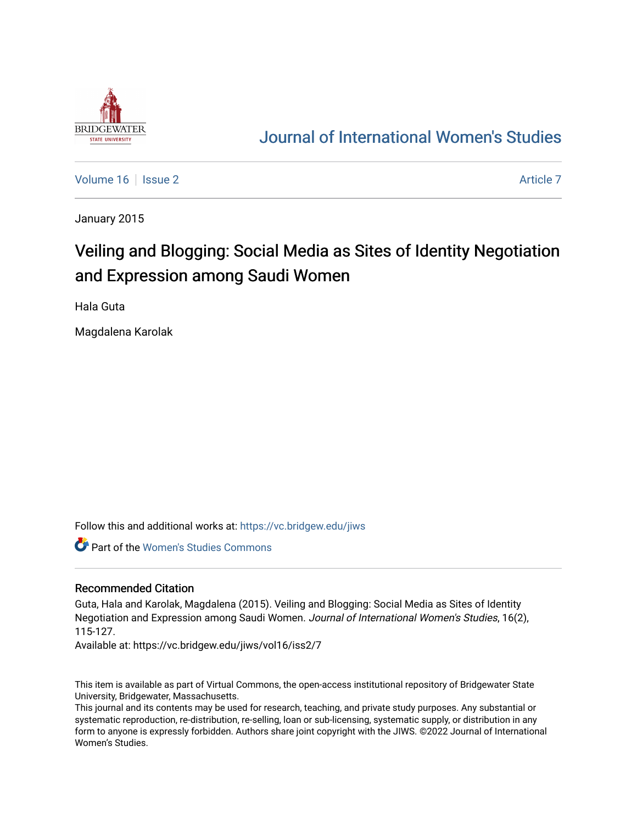

# [Journal of International Women's Studies](https://vc.bridgew.edu/jiws)

[Volume 16](https://vc.bridgew.edu/jiws/vol16) September 2 [Article 7](https://vc.bridgew.edu/jiws/vol16/iss2/7) Article 7

January 2015

# Veiling and Blogging: Social Media as Sites of Identity Negotiation and Expression among Saudi Women

Hala Guta

Magdalena Karolak

Follow this and additional works at: [https://vc.bridgew.edu/jiws](https://vc.bridgew.edu/jiws?utm_source=vc.bridgew.edu%2Fjiws%2Fvol16%2Fiss2%2F7&utm_medium=PDF&utm_campaign=PDFCoverPages)

Part of the [Women's Studies Commons](http://network.bepress.com/hgg/discipline/561?utm_source=vc.bridgew.edu%2Fjiws%2Fvol16%2Fiss2%2F7&utm_medium=PDF&utm_campaign=PDFCoverPages) 

#### Recommended Citation

Guta, Hala and Karolak, Magdalena (2015). Veiling and Blogging: Social Media as Sites of Identity Negotiation and Expression among Saudi Women. Journal of International Women's Studies, 16(2), 115-127.

Available at: https://vc.bridgew.edu/jiws/vol16/iss2/7

This item is available as part of Virtual Commons, the open-access institutional repository of Bridgewater State University, Bridgewater, Massachusetts.

This journal and its contents may be used for research, teaching, and private study purposes. Any substantial or systematic reproduction, re-distribution, re-selling, loan or sub-licensing, systematic supply, or distribution in any form to anyone is expressly forbidden. Authors share joint copyright with the JIWS. ©2022 Journal of International Women's Studies.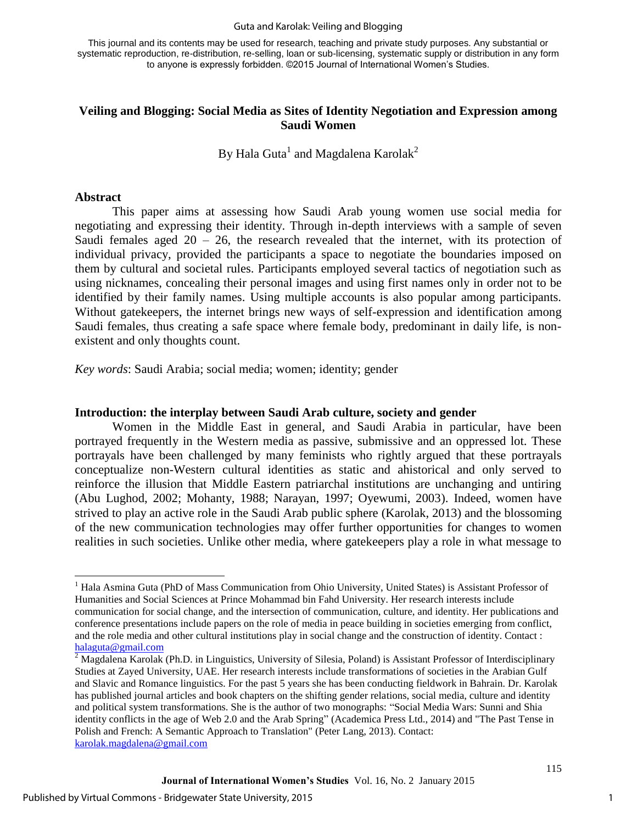#### Guta and Karolak: Veiling and Blogging

This journal and its contents may be used for research, teaching and private study purposes. Any substantial or systematic reproduction, re-distribution, re-selling, loan or sub-licensing, systematic supply or distribution in any form to anyone is expressly forbidden. ©2015 Journal of International Women's Studies.

### **Veiling and Blogging: Social Media as Sites of Identity Negotiation and Expression among Saudi Women**

By Hala Guta $^{\rm l}$  and Magdalena Karolak $^{\rm 2}$ 

#### **Abstract**

 $\overline{a}$ 

This paper aims at assessing how Saudi Arab young women use social media for negotiating and expressing their identity. Through in-depth interviews with a sample of seven Saudi females aged  $20 - 26$ , the research revealed that the internet, with its protection of individual privacy, provided the participants a space to negotiate the boundaries imposed on them by cultural and societal rules. Participants employed several tactics of negotiation such as using nicknames, concealing their personal images and using first names only in order not to be identified by their family names. Using multiple accounts is also popular among participants. Without gatekeepers, the internet brings new ways of self-expression and identification among Saudi females, thus creating a safe space where female body, predominant in daily life, is nonexistent and only thoughts count.

*Key words*: Saudi Arabia; social media; women; identity; gender

#### **Introduction: the interplay between Saudi Arab culture, society and gender**

Women in the Middle East in general, and Saudi Arabia in particular, have been portrayed frequently in the Western media as passive, submissive and an oppressed lot. These portrayals have been challenged by many feminists who rightly argued that these portrayals conceptualize non-Western cultural identities as static and ahistorical and only served to reinforce the illusion that Middle Eastern patriarchal institutions are unchanging and untiring (Abu Lughod, 2002; Mohanty, 1988; Narayan, 1997; Oyewumi, 2003). Indeed, women have strived to play an active role in the Saudi Arab public sphere (Karolak, 2013) and the blossoming of the new communication technologies may offer further opportunities for changes to women realities in such societies. Unlike other media, where gatekeepers play a role in what message to

<sup>&</sup>lt;sup>1</sup> Hala Asmina Guta (PhD of Mass Communication from Ohio University, United States) is Assistant Professor of Humanities and Social Sciences at Prince Mohammad bin Fahd University. Her research interests include communication for social change, and the intersection of communication, culture, and identity. Her publications and conference presentations include papers on the role of media in peace building in societies emerging from conflict, and the role media and other cultural institutions play in social change and the construction of identity. Contact : [halaguta@gmail.com](mailto:halaguta@gmail.com)

 $2 \text{ Magdalena Karolak}$  (Ph.D. in Linguistics, University of Silesia, Poland) is Assistant Professor of Interdisciplinary Studies at Zayed University, UAE. Her research interests include transformations of societies in the Arabian Gulf and Slavic and Romance linguistics. For the past 5 years she has been conducting fieldwork in Bahrain. Dr. Karolak has published journal articles and book chapters on the shifting gender relations, social media, culture and identity and political system transformations. She is the author of two monographs: "Social Media Wars: Sunni and Shia identity conflicts in the age of Web 2.0 and the Arab Spring" (Academica Press Ltd., 2014) and "The Past Tense in Polish and French: A Semantic Approach to Translation" (Peter Lang, 2013). Contact: [karolak.magdalena@gmail.com](mailto:karolak.magdalena@gmail.com)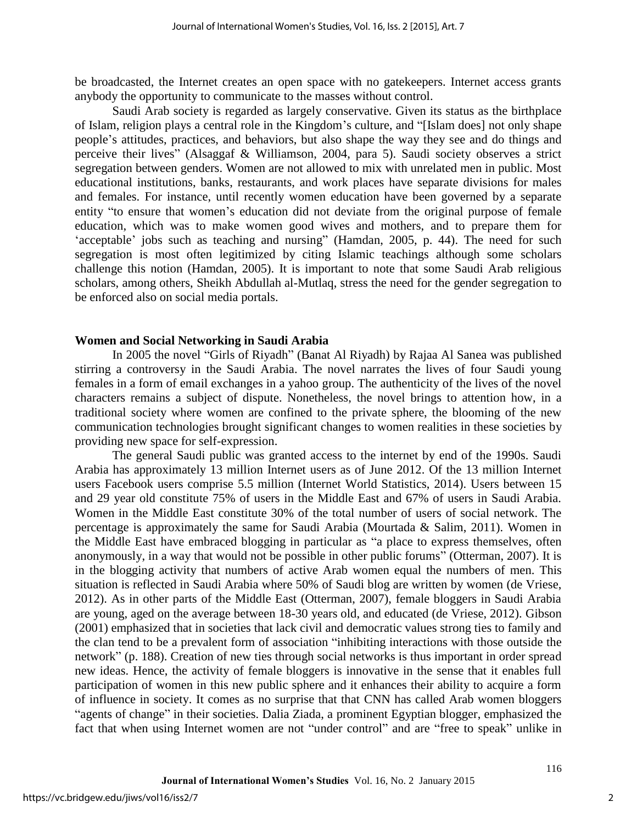be broadcasted, the Internet creates an open space with no gatekeepers. Internet access grants anybody the opportunity to communicate to the masses without control.

Saudi Arab society is regarded as largely conservative. Given its status as the birthplace of Islam, religion plays a central role in the Kingdom's culture, and "[Islam does] not only shape people's attitudes, practices, and behaviors, but also shape the way they see and do things and perceive their lives" (Alsaggaf & Williamson, 2004, para 5). Saudi society observes a strict segregation between genders. Women are not allowed to mix with unrelated men in public. Most educational institutions, banks, restaurants, and work places have separate divisions for males and females. For instance, until recently women education have been governed by a separate entity "to ensure that women's education did not deviate from the original purpose of female education, which was to make women good wives and mothers, and to prepare them for 'acceptable' jobs such as teaching and nursing" (Hamdan, 2005, p. 44). The need for such segregation is most often legitimized by citing Islamic teachings although some scholars challenge this notion (Hamdan, 2005). It is important to note that some Saudi Arab religious scholars, among others, Sheikh Abdullah al-Mutlaq, stress the need for the gender segregation to be enforced also on social media portals.

#### **Women and Social Networking in Saudi Arabia**

In 2005 the novel "Girls of Riyadh" (Banat Al Riyadh) by Rajaa Al Sanea was published stirring a controversy in the Saudi Arabia. The novel narrates the lives of four Saudi young females in a form of email exchanges in a yahoo group. The authenticity of the lives of the novel characters remains a subject of dispute. Nonetheless, the novel brings to attention how, in a traditional society where women are confined to the private sphere, the blooming of the new communication technologies brought significant changes to women realities in these societies by providing new space for self-expression.

The general Saudi public was granted access to the internet by end of the 1990s. Saudi Arabia has approximately 13 million Internet users as of June 2012. Of the 13 million Internet users Facebook users comprise 5.5 million (Internet World Statistics, 2014). Users between 15 and 29 year old constitute 75% of users in the Middle East and 67% of users in Saudi Arabia. Women in the Middle East constitute 30% of the total number of users of social network. The percentage is approximately the same for Saudi Arabia (Mourtada & Salim, 2011). Women in the Middle East have embraced blogging in particular as "a place to express themselves, often anonymously, in a way that would not be possible in other public forums" (Otterman, 2007). It is in the blogging activity that numbers of active Arab women equal the numbers of men. This situation is reflected in Saudi Arabia where 50% of Saudi blog are written by women (de Vriese, 2012). As in other parts of the Middle East (Otterman, 2007), female bloggers in Saudi Arabia are young, aged on the average between 18-30 years old, and educated (de Vriese, 2012). Gibson (2001) emphasized that in societies that lack civil and democratic values strong ties to family and the clan tend to be a prevalent form of association "inhibiting interactions with those outside the network" (p. 188). Creation of new ties through social networks is thus important in order spread new ideas. Hence, the activity of female bloggers is innovative in the sense that it enables full participation of women in this new public sphere and it enhances their ability to acquire a form of influence in society. It comes as no surprise that that CNN has called Arab women bloggers "agents of change" in their societies. Dalia Ziada, a prominent Egyptian blogger, emphasized the fact that when using Internet women are not "under control" and are "free to speak" unlike in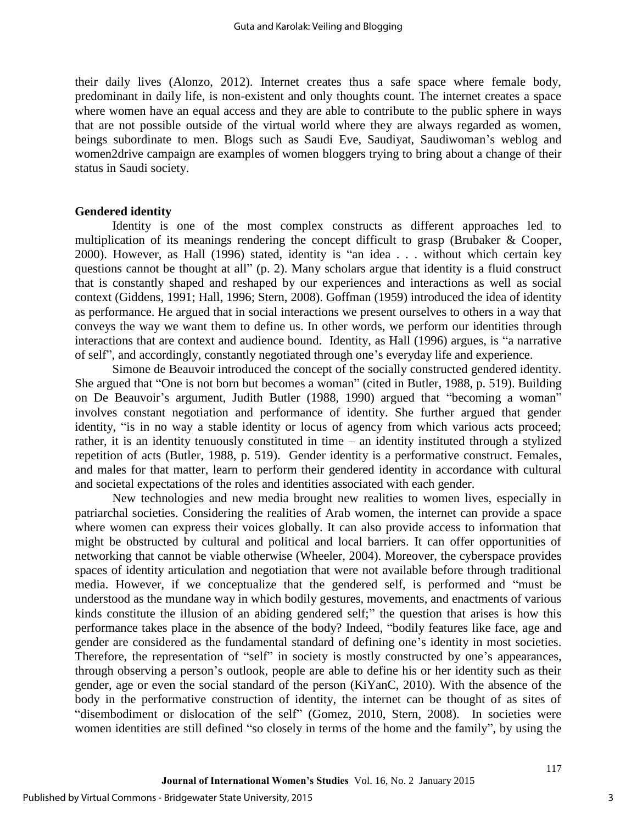their daily lives (Alonzo, 2012). Internet creates thus a safe space where female body, predominant in daily life, is non-existent and only thoughts count. The internet creates a space where women have an equal access and they are able to contribute to the public sphere in ways that are not possible outside of the virtual world where they are always regarded as women, beings subordinate to men. Blogs such as Saudi Eve, Saudiyat, Saudiwoman's weblog and women2drive campaign are examples of women bloggers trying to bring about a change of their status in Saudi society.

### **Gendered identity**

Identity is one of the most complex constructs as different approaches led to multiplication of its meanings rendering the concept difficult to grasp (Brubaker & Cooper, 2000). However, as Hall (1996) stated, identity is "an idea . . . without which certain key questions cannot be thought at all" (p. 2). Many scholars argue that identity is a fluid construct that is constantly shaped and reshaped by our experiences and interactions as well as social context (Giddens, 1991; Hall, 1996; Stern, 2008). Goffman (1959) introduced the idea of identity as performance. He argued that in social interactions we present ourselves to others in a way that conveys the way we want them to define us. In other words, we perform our identities through interactions that are context and audience bound. Identity, as Hall (1996) argues, is "a narrative of self", and accordingly, constantly negotiated through one's everyday life and experience.

 Simone de Beauvoir introduced the concept of the socially constructed gendered identity. She argued that "One is not born but becomes a woman" (cited in Butler, 1988, p. 519). Building on De Beauvoir's argument, Judith Butler (1988, 1990) argued that "becoming a woman" involves constant negotiation and performance of identity. She further argued that gender identity, "is in no way a stable identity or locus of agency from which various acts proceed; rather, it is an identity tenuously constituted in time – an identity instituted through a stylized repetition of acts (Butler, 1988, p. 519). Gender identity is a performative construct. Females, and males for that matter, learn to perform their gendered identity in accordance with cultural and societal expectations of the roles and identities associated with each gender.

New technologies and new media brought new realities to women lives, especially in patriarchal societies. Considering the realities of Arab women, the internet can provide a space where women can express their voices globally. It can also provide access to information that might be obstructed by cultural and political and local barriers. It can offer opportunities of networking that cannot be viable otherwise (Wheeler, 2004). Moreover, the cyberspace provides spaces of identity articulation and negotiation that were not available before through traditional media. However, if we conceptualize that the gendered self, is performed and "must be understood as the mundane way in which bodily gestures, movements, and enactments of various kinds constitute the illusion of an abiding gendered self;" the question that arises is how this performance takes place in the absence of the body? Indeed, "bodily features like face, age and gender are considered as the fundamental standard of defining one's identity in most societies. Therefore, the representation of "self" in society is mostly constructed by one's appearances, through observing a person's outlook, people are able to define his or her identity such as their gender, age or even the social standard of the person (KiYanC, 2010). With the absence of the body in the performative construction of identity, the internet can be thought of as sites of "disembodiment or dislocation of the self" (Gomez, 2010, Stern, 2008). In societies were women identities are still defined "so closely in terms of the home and the family", by using the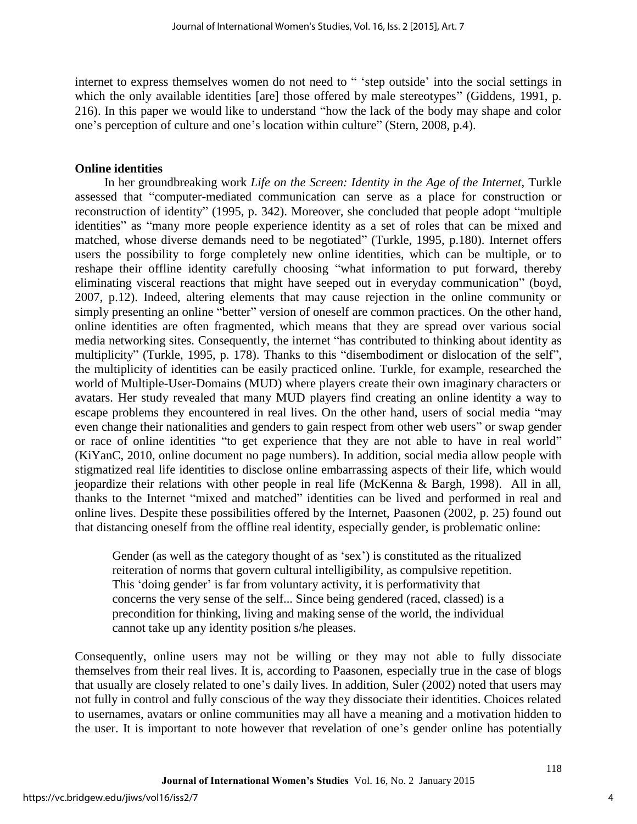internet to express themselves women do not need to " 'step outside' into the social settings in which the only available identities [are] those offered by male stereotypes" (Giddens, 1991, p. 216). In this paper we would like to understand "how the lack of the body may shape and color one's perception of culture and one's location within culture" (Stern, 2008, p.4).

### **Online identities**

In her groundbreaking work *Life on the Screen: Identity in the Age of the Internet*, Turkle assessed that "computer-mediated communication can serve as a place for construction or reconstruction of identity" (1995, p. 342). Moreover, she concluded that people adopt "multiple identities" as "many more people experience identity as a set of roles that can be mixed and matched, whose diverse demands need to be negotiated" (Turkle, 1995, p.180). Internet offers users the possibility to forge completely new online identities, which can be multiple, or to reshape their offline identity carefully choosing "what information to put forward, thereby eliminating visceral reactions that might have seeped out in everyday communication" (boyd, 2007, p.12). Indeed, altering elements that may cause rejection in the online community or simply presenting an online "better" version of oneself are common practices. On the other hand, online identities are often fragmented, which means that they are spread over various social media networking sites. Consequently, the internet "has contributed to thinking about identity as multiplicity" (Turkle, 1995, p. 178). Thanks to this "disembodiment or dislocation of the self", the multiplicity of identities can be easily practiced online. Turkle, for example, researched the world of Multiple-User-Domains (MUD) where players create their own imaginary characters or avatars. Her study revealed that many MUD players find creating an online identity a way to escape problems they encountered in real lives. On the other hand, users of social media "may even change their nationalities and genders to gain respect from other web users" or swap gender or race of online identities "to get experience that they are not able to have in real world" (KiYanC, 2010, online document no page numbers). In addition, social media allow people with stigmatized real life identities to disclose online embarrassing aspects of their life, which would jeopardize their relations with other people in real life (McKenna & Bargh, 1998). All in all, thanks to the Internet "mixed and matched" identities can be lived and performed in real and online lives. Despite these possibilities offered by the Internet, Paasonen (2002, p. 25) found out that distancing oneself from the offline real identity, especially gender, is problematic online:

Gender (as well as the category thought of as 'sex') is constituted as the ritualized reiteration of norms that govern cultural intelligibility, as compulsive repetition. This 'doing gender' is far from voluntary activity, it is performativity that concerns the very sense of the self... Since being gendered (raced, classed) is a precondition for thinking, living and making sense of the world, the individual cannot take up any identity position s/he pleases.

Consequently, online users may not be willing or they may not able to fully dissociate themselves from their real lives. It is, according to Paasonen, especially true in the case of blogs that usually are closely related to one's daily lives. In addition, Suler (2002) noted that users may not fully in control and fully conscious of the way they dissociate their identities. Choices related to usernames, avatars or online communities may all have a meaning and a motivation hidden to the user. It is important to note however that revelation of one's gender online has potentially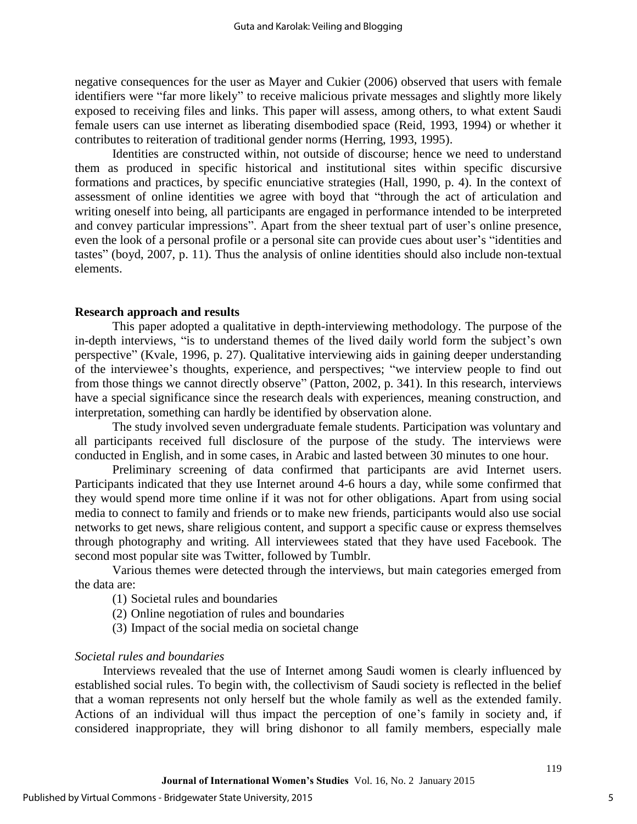negative consequences for the user as Mayer and Cukier (2006) observed that users with female identifiers were "far more likely" to receive malicious private messages and slightly more likely exposed to receiving files and links. This paper will assess, among others, to what extent Saudi female users can use internet as liberating disembodied space (Reid, 1993, 1994) or whether it contributes to reiteration of traditional gender norms (Herring, 1993, 1995).

Identities are constructed within, not outside of discourse; hence we need to understand them as produced in specific historical and institutional sites within specific discursive formations and practices, by specific enunciative strategies (Hall, 1990, p. 4). In the context of assessment of online identities we agree with boyd that "through the act of articulation and writing oneself into being, all participants are engaged in performance intended to be interpreted and convey particular impressions". Apart from the sheer textual part of user's online presence, even the look of a personal profile or a personal site can provide cues about user's "identities and tastes" (boyd, 2007, p. 11). Thus the analysis of online identities should also include non-textual elements.

#### **Research approach and results**

This paper adopted a qualitative in depth-interviewing methodology. The purpose of the in-depth interviews, "is to understand themes of the lived daily world form the subject's own perspective" (Kvale, 1996, p. 27). Qualitative interviewing aids in gaining deeper understanding of the interviewee's thoughts, experience, and perspectives; "we interview people to find out from those things we cannot directly observe" (Patton, 2002, p. 341). In this research, interviews have a special significance since the research deals with experiences, meaning construction, and interpretation, something can hardly be identified by observation alone.

The study involved seven undergraduate female students. Participation was voluntary and all participants received full disclosure of the purpose of the study. The interviews were conducted in English, and in some cases, in Arabic and lasted between 30 minutes to one hour.

Preliminary screening of data confirmed that participants are avid Internet users. Participants indicated that they use Internet around 4-6 hours a day, while some confirmed that they would spend more time online if it was not for other obligations. Apart from using social media to connect to family and friends or to make new friends, participants would also use social networks to get news, share religious content, and support a specific cause or express themselves through photography and writing. All interviewees stated that they have used Facebook. The second most popular site was Twitter, followed by Tumblr.

Various themes were detected through the interviews, but main categories emerged from the data are:

- (1) Societal rules and boundaries
- (2) Online negotiation of rules and boundaries
- (3) Impact of the social media on societal change

#### *Societal rules and boundaries*

Interviews revealed that the use of Internet among Saudi women is clearly influenced by established social rules. To begin with, the collectivism of Saudi society is reflected in the belief that a woman represents not only herself but the whole family as well as the extended family. Actions of an individual will thus impact the perception of one's family in society and, if considered inappropriate, they will bring dishonor to all family members, especially male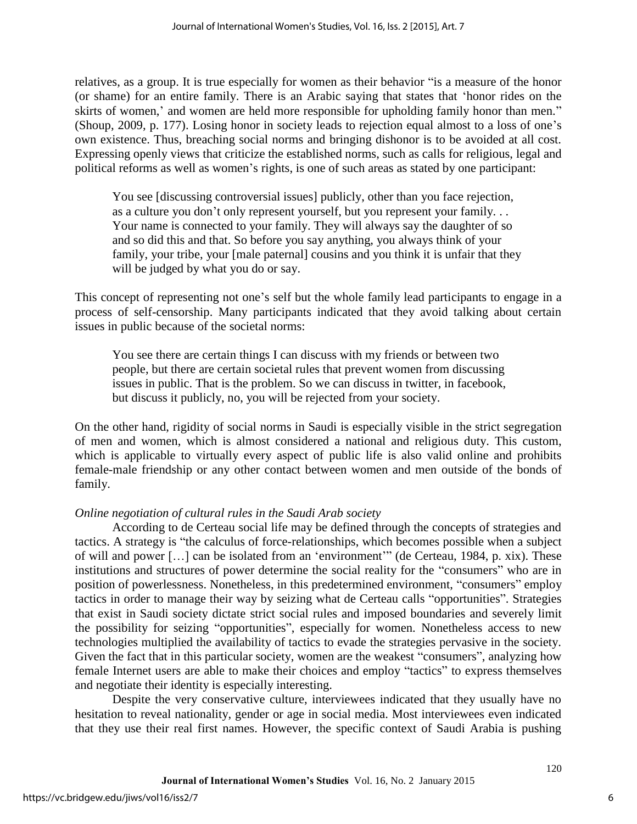relatives, as a group. It is true especially for women as their behavior "is a measure of the honor (or shame) for an entire family. There is an Arabic saying that states that 'honor rides on the skirts of women,' and women are held more responsible for upholding family honor than men." (Shoup, 2009, p. 177). Losing honor in society leads to rejection equal almost to a loss of one's own existence. Thus, breaching social norms and bringing dishonor is to be avoided at all cost. Expressing openly views that criticize the established norms, such as calls for religious, legal and political reforms as well as women's rights, is one of such areas as stated by one participant:

You see [discussing controversial issues] publicly, other than you face rejection, as a culture you don't only represent yourself, but you represent your family. . . Your name is connected to your family. They will always say the daughter of so and so did this and that. So before you say anything, you always think of your family, your tribe, your [male paternal] cousins and you think it is unfair that they will be judged by what you do or say.

This concept of representing not one's self but the whole family lead participants to engage in a process of self-censorship. Many participants indicated that they avoid talking about certain issues in public because of the societal norms:

You see there are certain things I can discuss with my friends or between two people, but there are certain societal rules that prevent women from discussing issues in public. That is the problem. So we can discuss in twitter, in facebook, but discuss it publicly, no, you will be rejected from your society.

On the other hand, rigidity of social norms in Saudi is especially visible in the strict segregation of men and women, which is almost considered a national and religious duty. This custom, which is applicable to virtually every aspect of public life is also valid online and prohibits female-male friendship or any other contact between women and men outside of the bonds of family.

# *Online negotiation of cultural rules in the Saudi Arab society*

According to de Certeau social life may be defined through the concepts of strategies and tactics. A strategy is "the calculus of force-relationships, which becomes possible when a subject of will and power […] can be isolated from an 'environment'" (de Certeau, 1984, p. xix). These institutions and structures of power determine the social reality for the "consumers" who are in position of powerlessness. Nonetheless, in this predetermined environment, "consumers" employ tactics in order to manage their way by seizing what de Certeau calls "opportunities". Strategies that exist in Saudi society dictate strict social rules and imposed boundaries and severely limit the possibility for seizing "opportunities", especially for women. Nonetheless access to new technologies multiplied the availability of tactics to evade the strategies pervasive in the society. Given the fact that in this particular society, women are the weakest "consumers", analyzing how female Internet users are able to make their choices and employ "tactics" to express themselves and negotiate their identity is especially interesting.

Despite the very conservative culture, interviewees indicated that they usually have no hesitation to reveal nationality, gender or age in social media. Most interviewees even indicated that they use their real first names. However, the specific context of Saudi Arabia is pushing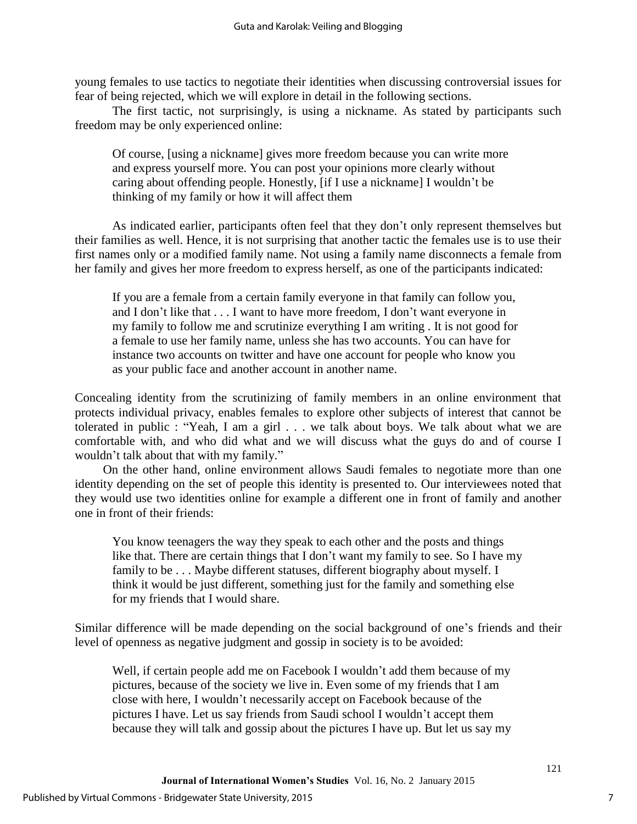young females to use tactics to negotiate their identities when discussing controversial issues for fear of being rejected, which we will explore in detail in the following sections.

The first tactic, not surprisingly, is using a nickname. As stated by participants such freedom may be only experienced online:

Of course, [using a nickname] gives more freedom because you can write more and express yourself more. You can post your opinions more clearly without caring about offending people. Honestly, [if I use a nickname] I wouldn't be thinking of my family or how it will affect them

As indicated earlier, participants often feel that they don't only represent themselves but their families as well. Hence, it is not surprising that another tactic the females use is to use their first names only or a modified family name. Not using a family name disconnects a female from her family and gives her more freedom to express herself, as one of the participants indicated:

If you are a female from a certain family everyone in that family can follow you, and I don't like that . . . I want to have more freedom, I don't want everyone in my family to follow me and scrutinize everything I am writing . It is not good for a female to use her family name, unless she has two accounts. You can have for instance two accounts on twitter and have one account for people who know you as your public face and another account in another name.

Concealing identity from the scrutinizing of family members in an online environment that protects individual privacy, enables females to explore other subjects of interest that cannot be tolerated in public : "Yeah, I am a girl . . . we talk about boys. We talk about what we are comfortable with, and who did what and we will discuss what the guys do and of course I wouldn't talk about that with my family."

On the other hand, online environment allows Saudi females to negotiate more than one identity depending on the set of people this identity is presented to. Our interviewees noted that they would use two identities online for example a different one in front of family and another one in front of their friends:

You know teenagers the way they speak to each other and the posts and things like that. There are certain things that I don't want my family to see. So I have my family to be . . . Maybe different statuses, different biography about myself. I think it would be just different, something just for the family and something else for my friends that I would share.

Similar difference will be made depending on the social background of one's friends and their level of openness as negative judgment and gossip in society is to be avoided:

Well, if certain people add me on Facebook I wouldn't add them because of my pictures, because of the society we live in. Even some of my friends that I am close with here, I wouldn't necessarily accept on Facebook because of the pictures I have. Let us say friends from Saudi school I wouldn't accept them because they will talk and gossip about the pictures I have up. But let us say my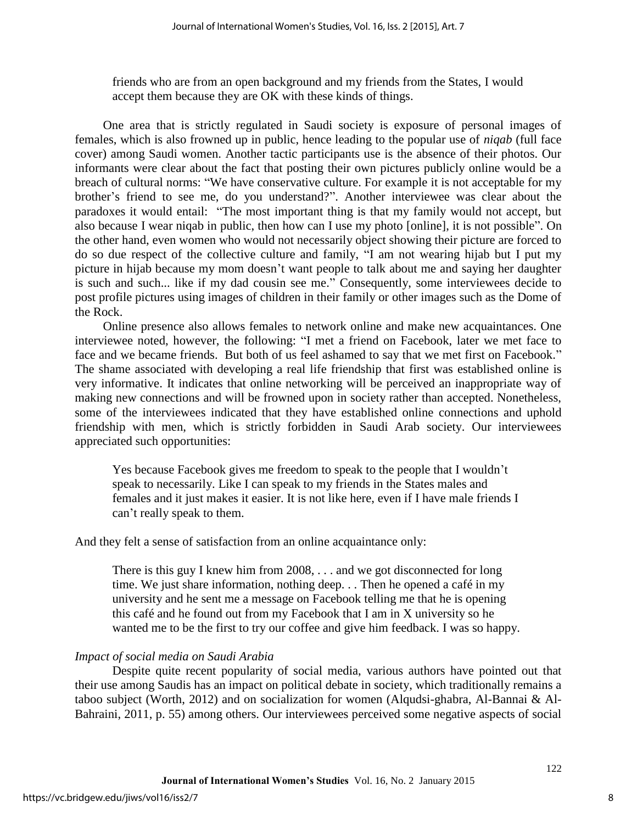friends who are from an open background and my friends from the States, I would accept them because they are OK with these kinds of things.

One area that is strictly regulated in Saudi society is exposure of personal images of females, which is also frowned up in public, hence leading to the popular use of *niqab* (full face cover) among Saudi women. Another tactic participants use is the absence of their photos. Our informants were clear about the fact that posting their own pictures publicly online would be a breach of cultural norms: "We have conservative culture. For example it is not acceptable for my brother's friend to see me, do you understand?". Another interviewee was clear about the paradoxes it would entail: "The most important thing is that my family would not accept, but also because I wear niqab in public, then how can I use my photo [online], it is not possible". On the other hand, even women who would not necessarily object showing their picture are forced to do so due respect of the collective culture and family, "I am not wearing hijab but I put my picture in hijab because my mom doesn't want people to talk about me and saying her daughter is such and such... like if my dad cousin see me." Consequently, some interviewees decide to post profile pictures using images of children in their family or other images such as the Dome of the Rock.

Online presence also allows females to network online and make new acquaintances. One interviewee noted, however, the following: "I met a friend on Facebook, later we met face to face and we became friends. But both of us feel ashamed to say that we met first on Facebook." The shame associated with developing a real life friendship that first was established online is very informative. It indicates that online networking will be perceived an inappropriate way of making new connections and will be frowned upon in society rather than accepted. Nonetheless, some of the interviewees indicated that they have established online connections and uphold friendship with men, which is strictly forbidden in Saudi Arab society. Our interviewees appreciated such opportunities:

Yes because Facebook gives me freedom to speak to the people that I wouldn't speak to necessarily. Like I can speak to my friends in the States males and females and it just makes it easier. It is not like here, even if I have male friends I can't really speak to them.

# And they felt a sense of satisfaction from an online acquaintance only:

There is this guy I knew him from 2008, . . . and we got disconnected for long time. We just share information, nothing deep. . . Then he opened a café in my university and he sent me a message on Facebook telling me that he is opening this café and he found out from my Facebook that I am in X university so he wanted me to be the first to try our coffee and give him feedback. I was so happy.

# *Impact of social media on Saudi Arabia*

Despite quite recent popularity of social media, various authors have pointed out that their use among Saudis has an impact on political debate in society, which traditionally remains a taboo subject (Worth, 2012) and on socialization for women (Alqudsi-ghabra, Al-Bannai & Al-Bahraini, 2011, p. 55) among others. Our interviewees perceived some negative aspects of social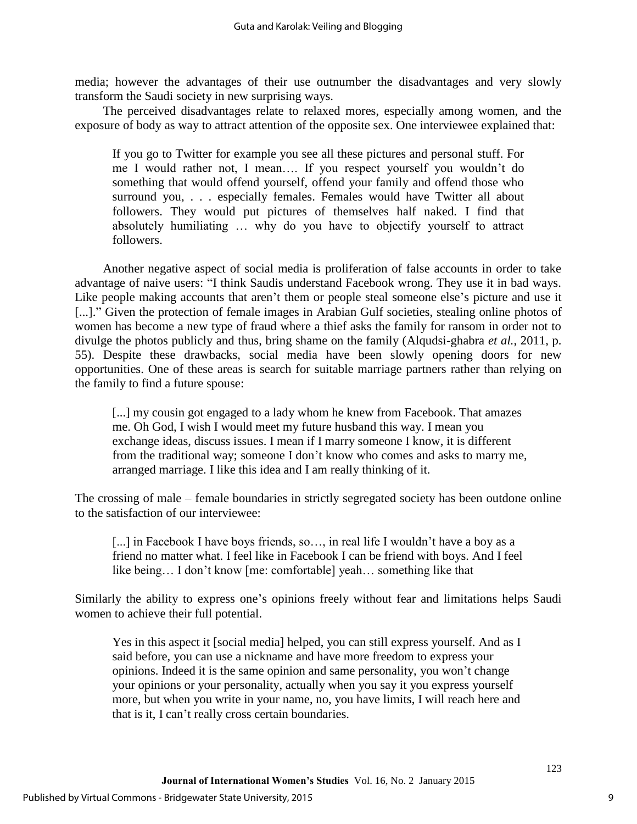media; however the advantages of their use outnumber the disadvantages and very slowly transform the Saudi society in new surprising ways.

The perceived disadvantages relate to relaxed mores, especially among women, and the exposure of body as way to attract attention of the opposite sex. One interviewee explained that:

If you go to Twitter for example you see all these pictures and personal stuff. For me I would rather not, I mean…. If you respect yourself you wouldn't do something that would offend yourself, offend your family and offend those who surround you, . . . especially females. Females would have Twitter all about followers. They would put pictures of themselves half naked. I find that absolutely humiliating … why do you have to objectify yourself to attract followers.

Another negative aspect of social media is proliferation of false accounts in order to take advantage of naive users: "I think Saudis understand Facebook wrong. They use it in bad ways. Like people making accounts that aren't them or people steal someone else's picture and use it [...]." Given the protection of female images in Arabian Gulf societies, stealing online photos of women has become a new type of fraud where a thief asks the family for ransom in order not to divulge the photos publicly and thus, bring shame on the family (Alqudsi-ghabra *et al.*, 2011, p. 55). Despite these drawbacks, social media have been slowly opening doors for new opportunities. One of these areas is search for suitable marriage partners rather than relying on the family to find a future spouse:

[...] my cousin got engaged to a lady whom he knew from Facebook. That amazes me. Oh God, I wish I would meet my future husband this way. I mean you exchange ideas, discuss issues. I mean if I marry someone I know, it is different from the traditional way; someone I don't know who comes and asks to marry me, arranged marriage. I like this idea and I am really thinking of it.

The crossing of male – female boundaries in strictly segregated society has been outdone online to the satisfaction of our interviewee:

[...] in Facebook I have boys friends, so..., in real life I wouldn't have a boy as a friend no matter what. I feel like in Facebook I can be friend with boys. And I feel like being… I don't know [me: comfortable] yeah… something like that

Similarly the ability to express one's opinions freely without fear and limitations helps Saudi women to achieve their full potential.

Yes in this aspect it [social media] helped, you can still express yourself. And as I said before, you can use a nickname and have more freedom to express your opinions. Indeed it is the same opinion and same personality, you won't change your opinions or your personality, actually when you say it you express yourself more, but when you write in your name, no, you have limits, I will reach here and that is it, I can't really cross certain boundaries.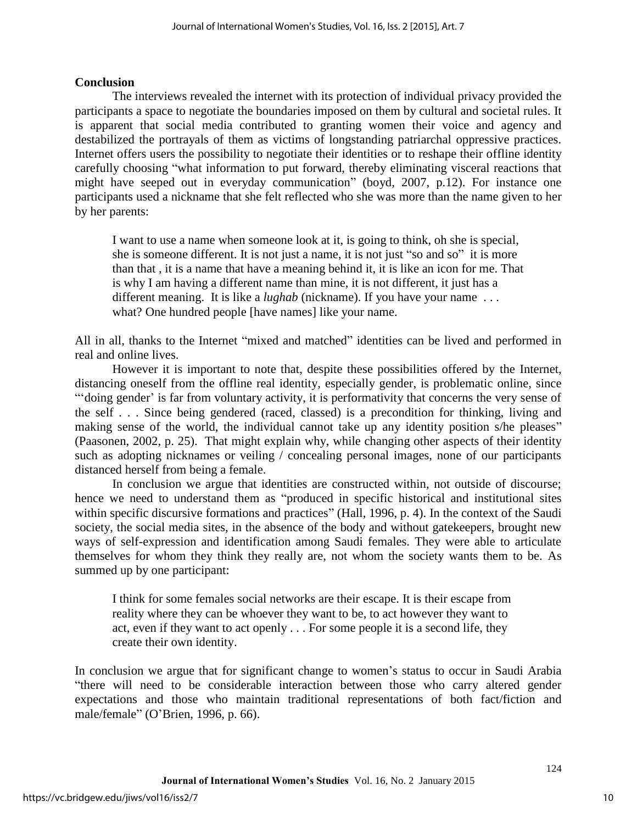# **Conclusion**

The interviews revealed the internet with its protection of individual privacy provided the participants a space to negotiate the boundaries imposed on them by cultural and societal rules. It is apparent that social media contributed to granting women their voice and agency and destabilized the portrayals of them as victims of longstanding patriarchal oppressive practices. Internet offers users the possibility to negotiate their identities or to reshape their offline identity carefully choosing "what information to put forward, thereby eliminating visceral reactions that might have seeped out in everyday communication" (boyd, 2007, p.12). For instance one participants used a nickname that she felt reflected who she was more than the name given to her by her parents:

I want to use a name when someone look at it, is going to think, oh she is special, she is someone different. It is not just a name, it is not just "so and so" it is more than that , it is a name that have a meaning behind it, it is like an icon for me. That is why I am having a different name than mine, it is not different, it just has a different meaning. It is like a *lughab* (nickname). If you have your name . . . what? One hundred people [have names] like your name.

All in all, thanks to the Internet "mixed and matched" identities can be lived and performed in real and online lives.

However it is important to note that, despite these possibilities offered by the Internet, distancing oneself from the offline real identity, especially gender, is problematic online, since "'doing gender' is far from voluntary activity, it is performativity that concerns the very sense of the self . . . Since being gendered (raced, classed) is a precondition for thinking, living and making sense of the world, the individual cannot take up any identity position s/he pleases" (Paasonen, 2002, p. 25). That might explain why, while changing other aspects of their identity such as adopting nicknames or veiling / concealing personal images, none of our participants distanced herself from being a female.

In conclusion we argue that identities are constructed within, not outside of discourse; hence we need to understand them as "produced in specific historical and institutional sites within specific discursive formations and practices" (Hall, 1996, p. 4). In the context of the Saudi society, the social media sites, in the absence of the body and without gatekeepers, brought new ways of self-expression and identification among Saudi females. They were able to articulate themselves for whom they think they really are, not whom the society wants them to be. As summed up by one participant:

I think for some females social networks are their escape. It is their escape from reality where they can be whoever they want to be, to act however they want to act, even if they want to act openly . . . For some people it is a second life, they create their own identity.

In conclusion we argue that for significant change to women's status to occur in Saudi Arabia "there will need to be considerable interaction between those who carry altered gender expectations and those who maintain traditional representations of both fact/fiction and male/female" (O'Brien, 1996, p. 66).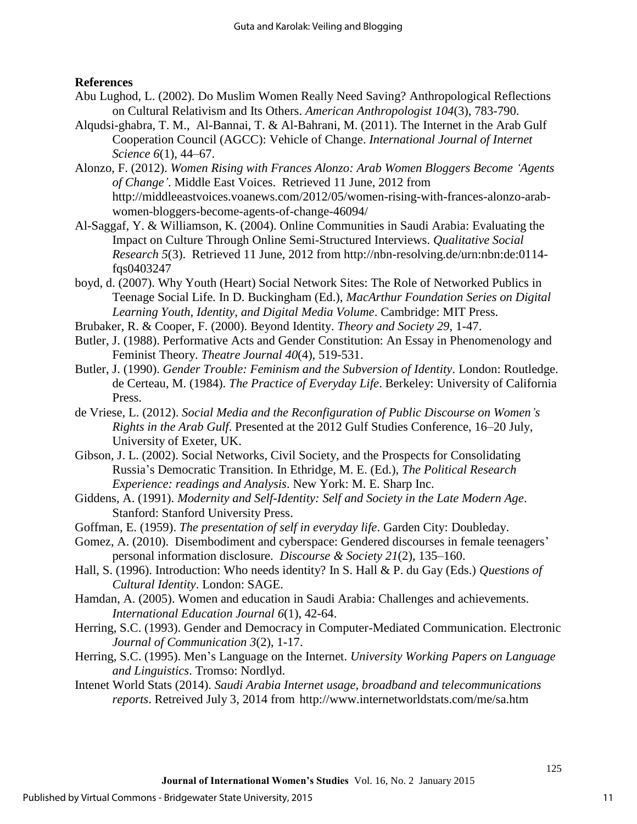# **References**

- Abu Lughod, L. (2002). Do Muslim Women Really Need Saving? Anthropological Reflections on Cultural Relativism and Its Others. *American Anthropologist 104*(3), 783-790.
- Alqudsi-ghabra, T. M., Al-Bannai, T. & Al-Bahrani, M. (2011). The Internet in the Arab Gulf Cooperation Council (AGCC): Vehicle of Change. *International Journal of Internet Science 6*(1), 44–67.
- Alonzo, F. (2012). *Women Rising with Frances Alonzo: Arab Women Bloggers Become 'Agents of Change'*. Middle East Voices. Retrieved 11 June, 2012 from http://middleeastvoices.voanews.com/2012/05/women-rising-with-frances-alonzo-arabwomen-bloggers-become-agents-of-change-46094/
- Al-Saggaf, Y. & Williamson, K. (2004). Online Communities in Saudi Arabia: Evaluating the Impact on Culture Through Online Semi-Structured Interviews. *Qualitative Social Research 5*(3). Retrieved 11 June, 2012 from http://nbn-resolving.de/urn:nbn:de:0114 fqs0403247
- boyd, d. (2007). Why Youth (Heart) Social Network Sites: The Role of Networked Publics in Teenage Social Life. In D. Buckingham (Ed.), *MacArthur Foundation Series on Digital Learning Youth, Identity, and Digital Media Volume*. Cambridge: MIT Press.
- Brubaker, R. & Cooper, F. (2000). Beyond Identity. *Theory and Society 29*, 1-47.
- Butler, J. (1988). Performative Acts and Gender Constitution: An Essay in Phenomenology and Feminist Theory. *Theatre Journal 40*(4), 519-531.
- Butler, J. (1990). *Gender Trouble: Feminism and the Subversion of Identity*. London: Routledge. de Certeau, M. (1984). *The Practice of Everyday Life*. Berkeley: University of California Press.
- de Vriese, L. (2012). *Social Media and the Reconfiguration of Public Discourse on Women's Rights in the Arab Gulf*. Presented at the 2012 Gulf Studies Conference, 16–20 July, University of Exeter, UK.
- Gibson, J. L. (2002). Social Networks, Civil Society, and the Prospects for Consolidating Russia's Democratic Transition. In Ethridge, M. E. (Ed.), *The Political Research Experience: readings and Analysis*. New York: M. E. Sharp Inc.
- Giddens, A. (1991). *Modernity and Self-Identity: Self and Society in the Late Modern Age*. Stanford: Stanford University Press.
- Goffman, E. (1959). *The presentation of self in everyday life*. Garden City: Doubleday.
- Gomez, A. (2010). Disembodiment and cyberspace: Gendered discourses in female teenagers' personal information disclosure. *Discourse & Society 21*(2), 135–160.
- Hall, S. (1996). Introduction: Who needs identity? In S. Hall & P. du Gay (Eds.) *Questions of Cultural Identity*. London: SAGE.
- Hamdan, A. (2005). Women and education in Saudi Arabia: Challenges and achievements. *International Education Journal 6*(1), 42-64.
- Herring, S.C. (1993). Gender and Democracy in Computer-Mediated Communication. Electronic *Journal of Communication 3*(2), 1-17.
- Herring, S.C. (1995). Men's Language on the Internet. *University Working Papers on Language and Linguistics*. Tromso: Nordlyd.
- Intenet World Stats (2014). *Saudi Arabia Internet usage, broadband and telecommunications reports*. Retreived July 3, 2014 from<http://www.internetworldstats.com/me/sa.htm>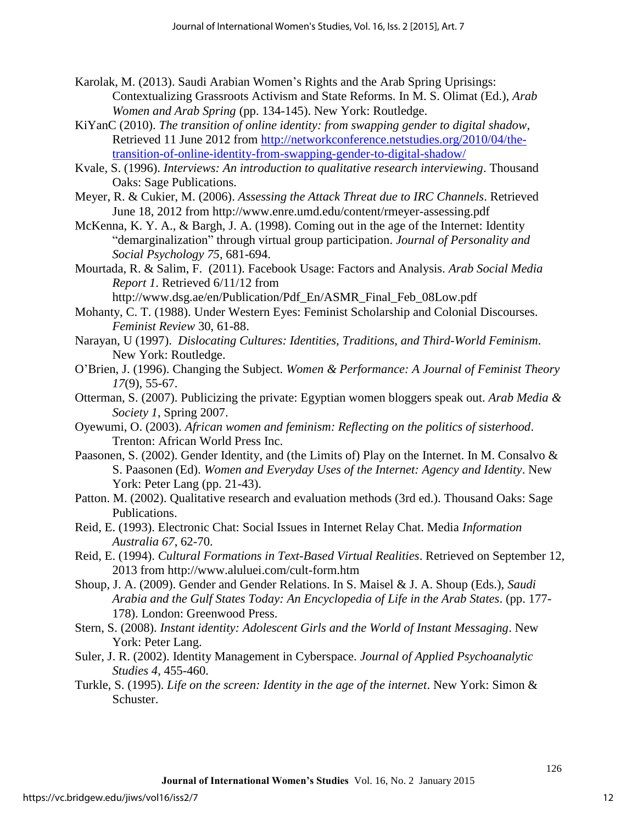- Karolak, M. (2013). Saudi Arabian Women's Rights and the Arab Spring Uprisings: Contextualizing Grassroots Activism and State Reforms. In M. S. Olimat (Ed.), *Arab Women and Arab Spring* (pp. 134-145). New York: Routledge.
- KiYanC (2010). *[The transition of online identity: from swapping gender to digital shadow](http://networkconference.netstudies.org/2010/04/the-transition-of-online-identity-from-swapping-gender-to-digital-shadow/)*, Retrieved 11 June 2012 from [http://networkconference.netstudies.org/2010/04/the](http://networkconference.netstudies.org/2010/04/the-transition-of-online-identity-from-swapping-gender-to-digital-shadow/)[transition-of-online-identity-from-swapping-gender-to-digital-shadow/](http://networkconference.netstudies.org/2010/04/the-transition-of-online-identity-from-swapping-gender-to-digital-shadow/)
- Kvale, S. (1996). *Interviews: An introduction to qualitative research interviewing*. Thousand Oaks: Sage Publications.
- Meyer, R. & Cukier, M. (2006). *Assessing the Attack Threat due to IRC Channels*. Retrieved June 18, 2012 from<http://www.enre.umd.edu/content/rmeyer-assessing.pdf>
- McKenna, K. Y. A., & Bargh, J. A. (1998). Coming out in the age of the Internet: Identity "demarginalization" through virtual group participation. *Journal of Personality and Social Psychology 75*, 681-694.
- Mourtada, R. & Salim, F. (2011). Facebook Usage: Factors and Analysis. *Arab Social Media Report 1*. Retrieved 6/11/12 from

[http://www.dsg.ae/en/Publication/Pdf\\_En/ASMR\\_Final\\_Feb\\_08Low.pdf](http://www.dsg.ae/en/Publication/Pdf_En/ASMR_Final_Feb_08Low.pdf)

- Mohanty, C. T. (1988). Under Western Eyes: Feminist Scholarship and Colonial Discourses. *Feminist Review* 30, 61-88.
- Narayan, U (1997). *Dislocating Cultures: Identities, Traditions, and Third-World Feminism*. New York: Routledge.
- O'Brien, J. (1996). Changing the Subject. *Women & Performance: A Journal of Feminist Theory 17*(9), 55-67.
- Otterman, S. (2007). Publicizing the private: Egyptian women bloggers speak out. *Arab Media & Society 1*, Spring 2007.
- Oyewumi, O. (2003). *African women and feminism: Reflecting on the politics of sisterhood*. Trenton: African World Press Inc.
- Paasonen, S. (2002). Gender Identity, and (the Limits of) Play on the Internet. In M. Consalvo & S. Paasonen (Ed). *Women and Everyday Uses of the Internet: Agency and Identity*. New York: Peter Lang (pp. 21-43).
- Patton. M. (2002). Qualitative research and evaluation methods (3rd ed.). Thousand Oaks: Sage Publications.
- Reid, E. (1993). Electronic Chat: Social Issues in Internet Relay Chat. Media *Information Australia 67*, 62-70.
- Reid, E. (1994). *Cultural Formations in Text-Based Virtual Realities*. Retrieved on September 12, 2013 from<http://www.aluluei.com/cult-form.htm>
- Shoup, J. A. (2009). Gender and Gender Relations. In S. Maisel & J. A. Shoup (Eds.), *Saudi Arabia and the Gulf States Today: An Encyclopedia of Life in the Arab States*. (pp. 177- 178). London: Greenwood Press.
- Stern, S. (2008). *Instant identity: Adolescent Girls and the World of Instant Messaging*. New York: Peter Lang.
- Suler, J. R. (2002). Identity Management in Cyberspace. *Journal of Applied Psychoanalytic Studies 4*, 455-460.
- Turkle, S. (1995). *Life on the screen: Identity in the age of the internet*. New York: Simon & Schuster.